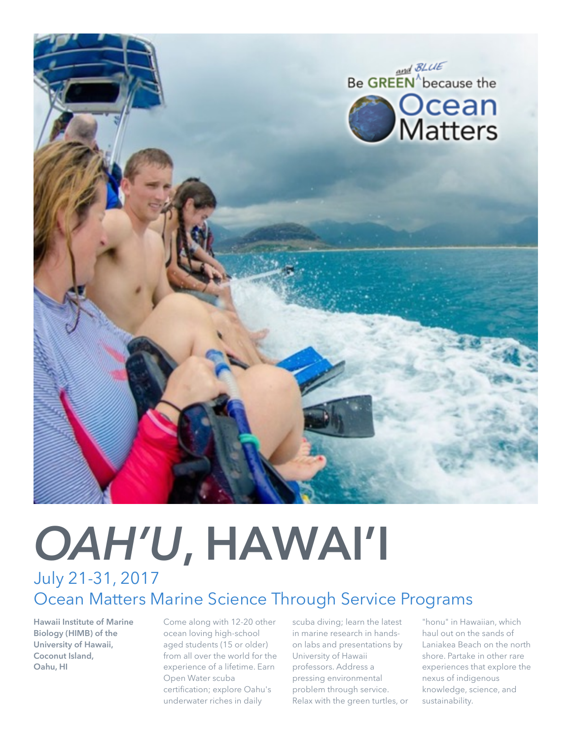

# *OAH'U***, HAWAI'I** July 21-31, 2017

## Ocean Matters Marine Science Through Service Programs

**Hawaii Institute of Marine Biology (HIMB) of the University of Hawaii, Coconut Island, Oahu, HI**

Come along with 12-20 other ocean loving high-school aged students (15 or older) from all over the world for the experience of a lifetime. Earn Open Water scuba certification; explore Oahu's underwater riches in daily

scuba diving; learn the latest in marine research in handson labs and presentations by University of Hawaii professors. Address a pressing environmental problem through service. Relax with the green turtles, or

"honu" in Hawaiian, which haul out on the sands of Laniakea Beach on the north shore. Partake in other rare experiences that explore the nexus of indigenous knowledge, science, and sustainability.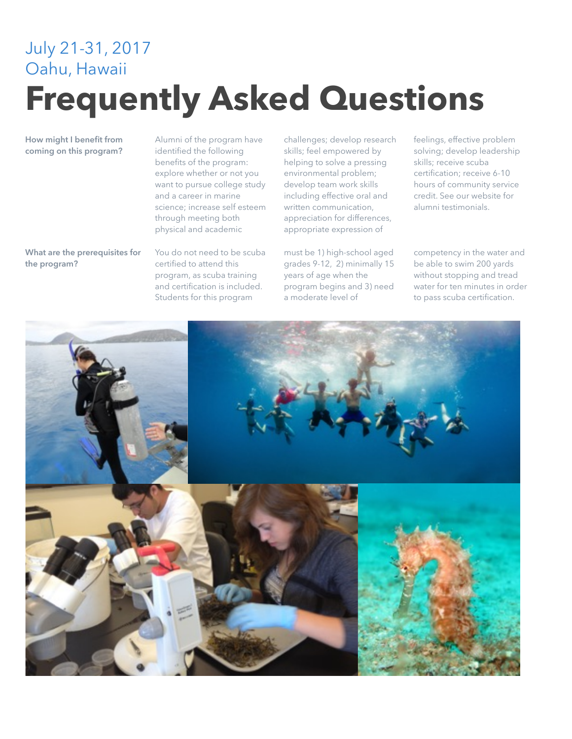## July 21-31, 2017 Oahu, Hawaii **Frequently Asked Questions**

### **How might I benefit from coming on this program?**

Alumni of the program have identified the following benefits of the program: explore whether or not you want to pursue college study and a career in marine science; increase self esteem through meeting both physical and academic

challenges; develop research skills; feel empowered by helping to solve a pressing environmental problem; develop team work skills including effective oral and written communication, appreciation for differences, appropriate expression of

must be 1) high-school aged grades 9-12, 2) minimally 15 years of age when the program begins and 3) need a moderate level of

feelings, effective problem solving; develop leadership skills; receive scuba certification; receive 6-10 hours of community service credit. See our website for alumni testimonials.

competency in the water and be able to swim 200 yards without stopping and tread water for ten minutes in order to pass scuba certification.

**What are the prerequisites for the program?**

You do not need to be scuba certified to attend this program, as scuba training and certification is included. Students for this program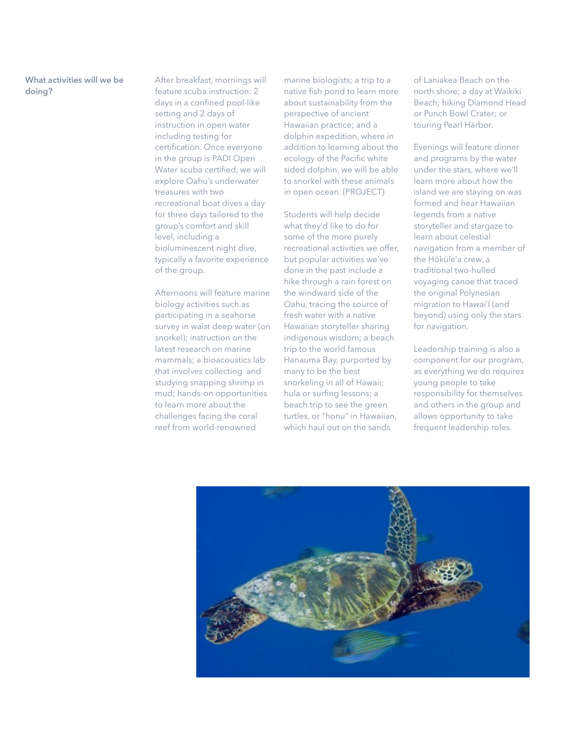#### **What activities will we be doing?**

After breakfast, mornings will feature scuba instruction: 2 days in a confined pool-like setting and 2 days of instruction in open water including testing for certification. Once everyone in the group is PADI Open Water scuba certified, we will explore Oahu's underwater treasures with two recreational boat dives a day for three days tailored to the group's comfort and skill level, including a bioluminescent night dive, typically a favorite experience of the group.

Afternoons will feature marine biology activities such as participating in a seahorse survey in waist deep water (on snorkel); instruction on the latest research on marine mammals; a bioacoustics lab that involves collecting and studying snapping shrimp in mud; hands-on opportunities to learn more about the challenges facing the coral reef from world-renowned

marine biologists; a trip to a native fish pond to learn more about sustainability from the perspective of ancient Hawaiian practice; and a dolphin expedition, where in addition to learning about the ecology of the Pacific white sided dolphin, we will be able to snorkel with these animals in open ocean. (PROJECT)

Students will help decide what they'd like to do for some of the more purely recreational activities we offer, but popular activities we've done in the past include a hike through a rain forest on the windward side of the Oahu, tracing the source of fresh water with a native Hawaiian storyteller sharing indigenous wisdom; a beach trip to the world famous Hanauma Bay, purported by many to be the best snorkeling in all of Hawaii; hula or surfing lessons; a beach trip to see the green turtles, or "honu" in Hawaiian, which haul out on the sands

of Laniakea Beach on the north shore; a day at Waikiki Beach; hiking Diamond Head or Punch Bowl Crater; or touring Pearl Harbor.

Evenings will feature dinner and programs by the water under the stars, where we'll learn more about how the island we are staying on was formed and hear Hawaiian legends from a native storyteller and stargaze to learn about celestial navigation from a member of the Hōkūleʻa crew, a traditional two-hulled voyaging canoe that traced the original Polynesian migration to Hawai'I (and beyond) using only the stars for navigation.

Leadership training is also a component for our program, as everything we do requires young people to take responsibility for themselves and others in the group and allows opportunity to take frequent leadership roles.

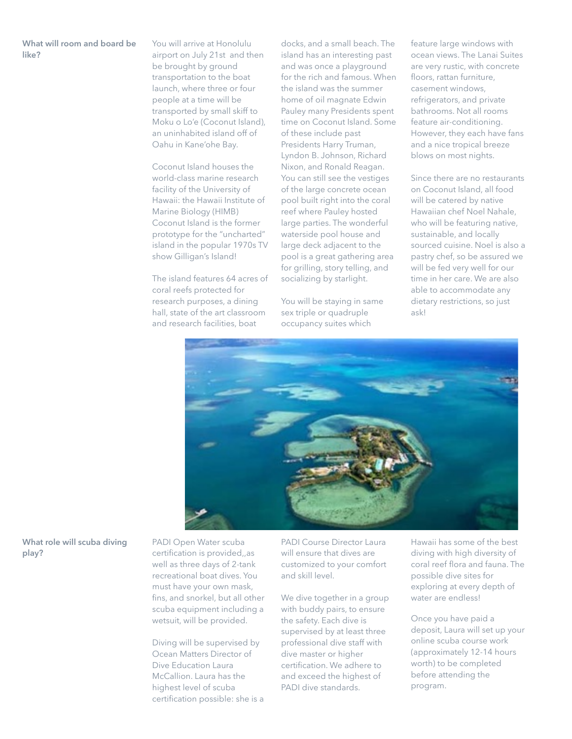#### **What will room and board be like?**

You will arrive at Honolulu airport on July 21st and then be brought by ground transportation to the boat launch, where three or four people at a time will be transported by small skiff to Moku o Lo'e (Coconut Island), an uninhabited island off of Oahu in Kane'ohe Bay.

Coconut Island houses the world-class marine research facility of the University of Hawaii: the Hawaii Institute of Marine Biology (HIMB) Coconut Island is the former prototype for the "uncharted" island in the popular 1970s TV show Gilligan's Island!

The island features 64 acres of coral reefs protected for research purposes, a dining hall, state of the art classroom and research facilities, boat

docks, and a small beach. The island has an interesting past and was once a playground for the rich and famous. When the island was the summer home of oil magnate Edwin Pauley many Presidents spent time on Coconut Island. Some of these include past Presidents Harry Truman, Lyndon B. Johnson, Richard Nixon, and Ronald Reagan. You can still see the vestiges of the large concrete ocean pool built right into the coral reef where Pauley hosted large parties. The wonderful waterside pool house and large deck adjacent to the pool is a great gathering area for grilling, story telling, and socializing by starlight.

You will be staying in same sex triple or quadruple occupancy suites which

feature large windows with ocean views. The Lanai Suites are very rustic, with concrete floors, rattan furniture, casement windows, refrigerators, and private bathrooms. Not all rooms feature air-conditioning. However, they each have fans and a nice tropical breeze blows on most nights.

Since there are no restaurants on Coconut Island, all food will be catered by native Hawaiian chef Noel Nahale, who will be featuring native, sustainable, and locally sourced cuisine. Noel is also a pastry chef, so be assured we will be fed very well for our time in her care. We are also able to accommodate any dietary restrictions, so just ask!



### **What role will scuba diving play?**

PADI Open Water scuba certification is provided,,as well as three days of 2-tank recreational boat dives. You must have your own mask, fins, and snorkel, but all other scuba equipment including a wetsuit, will be provided.

Diving will be supervised by Ocean Matters Director of Dive Education Laura McCallion. Laura has the highest level of scuba certification possible: she is a PADI Course Director Laura will ensure that dives are customized to your comfort and skill level.

We dive together in a group with buddy pairs, to ensure the safety. Each dive is supervised by at least three professional dive staff with dive master or higher certification. We adhere to and exceed the highest of PADI dive standards.

Hawaii has some of the best diving with high diversity of coral reef flora and fauna. The possible dive sites for exploring at every depth of water are endless!

Once you have paid a deposit, Laura will set up your online scuba course work (approximately 12-14 hours worth) to be completed before attending the program.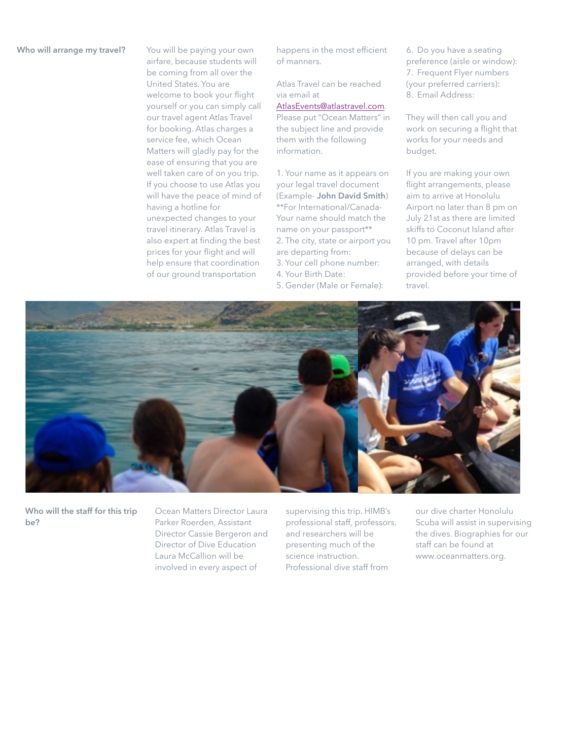#### **Who will arrange my travel?** You will be paying your own

airfare, because students will be coming from all over the United States. You are welcome to book your flight yourself or you can simply call our travel agent Atlas Travel for booking. Atlas charges a service fee, which Ocean Matters will gladly pay for the ease of ensuring that you are well taken care of on you trip. If you choose to use Atlas you will have the peace of mind of having a hotline for unexpected changes to your travel itinerary. Atlas Travel is also expert at finding the best prices for your flight and will help ensure that coordination of our ground transportation

happens in the most efficient of manners.

Atlas Travel can be reached via email at

#### [AtlasEvents@atlastravel.com.](mailto:AtlasEvents@atlastravel.com)

Please put "Ocean Matters" in the subject line and provide them with the following information.

1. Your name as it appears on your legal travel document (Example- **John David Smith**) \*\*For International/Canada-Your name should match the name on your passport\*\* 2. The city, state or airport you are departing from: 3. Your cell phone number: 4. Your Birth Date: 5. Gender (Male or Female):

6. Do you have a seating preference (aisle or window): 7. Frequent Flyer numbers (your preferred carriers): 8. Email Address:

They will then call you and work on securing a flight that works for your needs and budget.

If you are making your own flight arrangements, please aim to arrive at Honolulu Airport no later than 8 pm on July 21st as there are limited skiffs to Coconut Island after 10 pm. Travel after 10pm because of delays can be arranged, with details provided before your time of travel.



**Who will the staff for this trip be?**

Ocean Matters Director Laura Parker Roerden, Assistant Director Cassie Bergeron and Director of Dive Education Laura McCallion will be involved in every aspect of

supervising this trip. HIMB's professional staff, professors, and researchers will be presenting much of the science instruction. Professional dive staff from

our dive charter Honolulu Scuba will assist in supervising the dives. Biographies for our staff can be found at www.oceanmatters.org.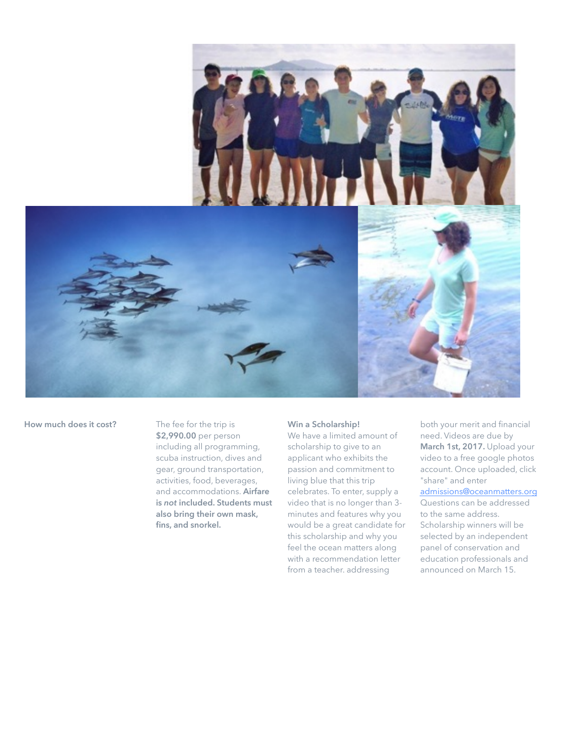

#### **How much does it cost?** The fee for the trip is

**\$2,990.00** per person including all programming, scuba instruction, dives and gear, ground transportation, activities, food, beverages, and accommodations. **Airfare is** *not* **included. Students must also bring their own mask, fins, and snorkel.** 

#### **Win a Scholarship!**

We have a limited amount of scholarship to give to an applicant who exhibits the passion and commitment to living blue that this trip celebrates. To enter, supply a video that is no longer than 3 minutes and features why you would be a great candidate for this scholarship and why you feel the ocean matters along with a recommendation letter from a teacher. addressing

both your merit and financial need. Videos are due by **March 1st, 2017.** Upload your video to a free google photos account. Once uploaded, click "share" and enter [admissions@oceanmatters.org](mailto:admissions@oceanmatters.org) Questions can be addressed to the same address. Scholarship winners will be selected by an independent panel of conservation and education professionals and

announced on March 15.